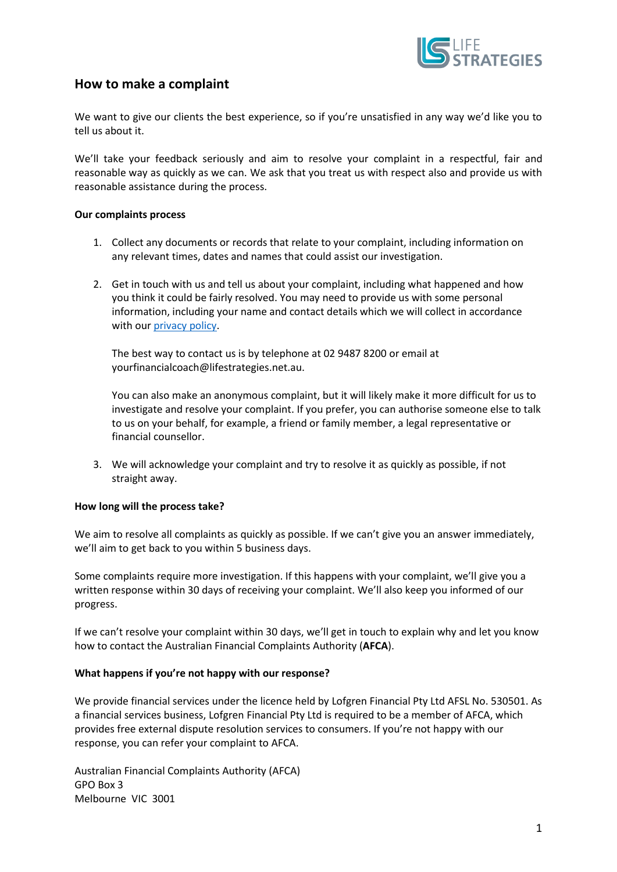

## **How to make a complaint**

We want to give our clients the best experience, so if you're unsatisfied in any way we'd like you to tell us about it.

We'll take your feedback seriously and aim to resolve your complaint in a respectful, fair and reasonable way as quickly as we can. We ask that you treat us with respect also and provide us with reasonable assistance during the process.

## **Our complaints process**

- 1. Collect any documents or records that relate to your complaint, including information on any relevant times, dates and names that could assist our investigation.
- 2. Get in touch with us and tell us about your complaint, including what happened and how you think it could be fairly resolved. You may need to provide us with some personal information, including your name and contact details which we will collect in accordance with our [privacy policy.](https://lifestrategies.net.au/wp-content/uploads/2022/05/Privacy-Policy-May-2022.pdf)

The best way to contact us is by telephone at 02 9487 8200 or email at yourfinancialcoach@lifestrategies.net.au.

You can also make an anonymous complaint, but it will likely make it more difficult for us to investigate and resolve your complaint. If you prefer, you can authorise someone else to talk to us on your behalf, for example, a friend or family member, a legal representative or financial counsellor.

3. We will acknowledge your complaint and try to resolve it as quickly as possible, if not straight away.

## **How long will the process take?**

We aim to resolve all complaints as quickly as possible. If we can't give you an answer immediately, we'll aim to get back to you within 5 business days.

Some complaints require more investigation. If this happens with your complaint, we'll give you a written response within 30 days of receiving your complaint. We'll also keep you informed of our progress.

If we can't resolve your complaint within 30 days, we'll get in touch to explain why and let you know how to contact the Australian Financial Complaints Authority (**AFCA**).

## **What happens if you're not happy with our response?**

We provide financial services under the licence held by Lofgren Financial Pty Ltd AFSL No. 530501. As a financial services business, Lofgren Financial Pty Ltd is required to be a member of AFCA, which provides free external dispute resolution services to consumers. If you're not happy with our response, you can refer your complaint to AFCA.

Australian Financial Complaints Authority (AFCA) GPO Box 3 Melbourne VIC 3001